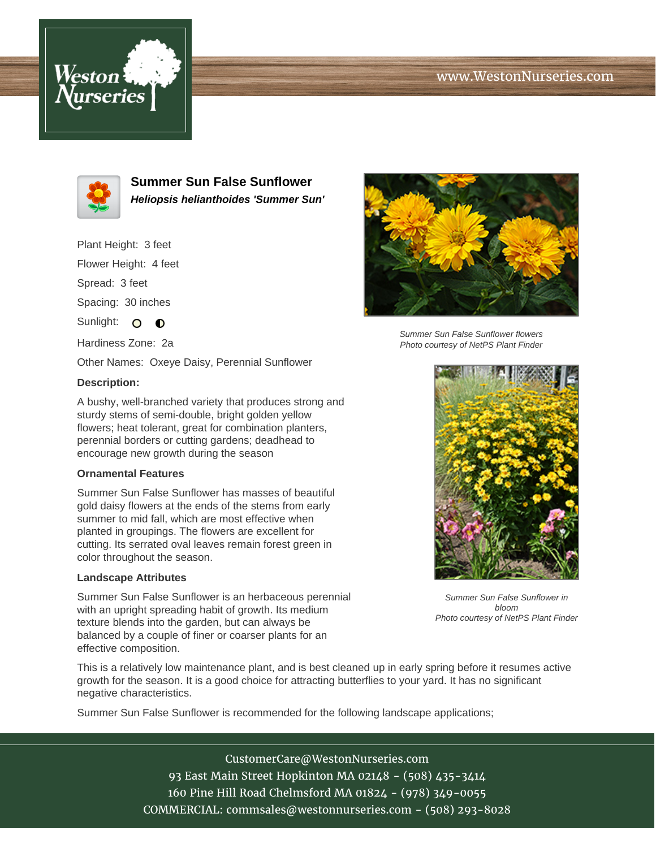# www.WestonNurseries.com





**Summer Sun False Sunflower Heliopsis helianthoides 'Summer Sun'**

Plant Height: 3 feet Flower Height: 4 feet Spread: 3 feet Spacing: 30 inches Sunlight: O O Hardiness Zone: 2a

Other Names: Oxeye Daisy, Perennial Sunflower

### **Description:**

A bushy, well-branched variety that produces strong and sturdy stems of semi-double, bright golden yellow flowers; heat tolerant, great for combination planters, perennial borders or cutting gardens; deadhead to encourage new growth during the season

#### **Ornamental Features**

Summer Sun False Sunflower has masses of beautiful gold daisy flowers at the ends of the stems from early summer to mid fall, which are most effective when planted in groupings. The flowers are excellent for cutting. Its serrated oval leaves remain forest green in color throughout the season.

#### **Landscape Attributes**

Summer Sun False Sunflower is an herbaceous perennial with an upright spreading habit of growth. Its medium texture blends into the garden, but can always be balanced by a couple of finer or coarser plants for an effective composition.

Summer Sun False Sunflower flowers Photo courtesy of NetPS Plant Finder



Summer Sun False Sunflower in bloom Photo courtesy of NetPS Plant Finder

This is a relatively low maintenance plant, and is best cleaned up in early spring before it resumes active growth for the season. It is a good choice for attracting butterflies to your yard. It has no significant negative characteristics.

Summer Sun False Sunflower is recommended for the following landscape applications;

CustomerCare@WestonNurseries.com 93 East Main Street Hopkinton MA 02148 - (508) 435-3414 160 Pine Hill Road Chelmsford MA 01824 - (978) 349-0055 COMMERCIAL: commsales@westonnurseries.com - (508) 293-8028